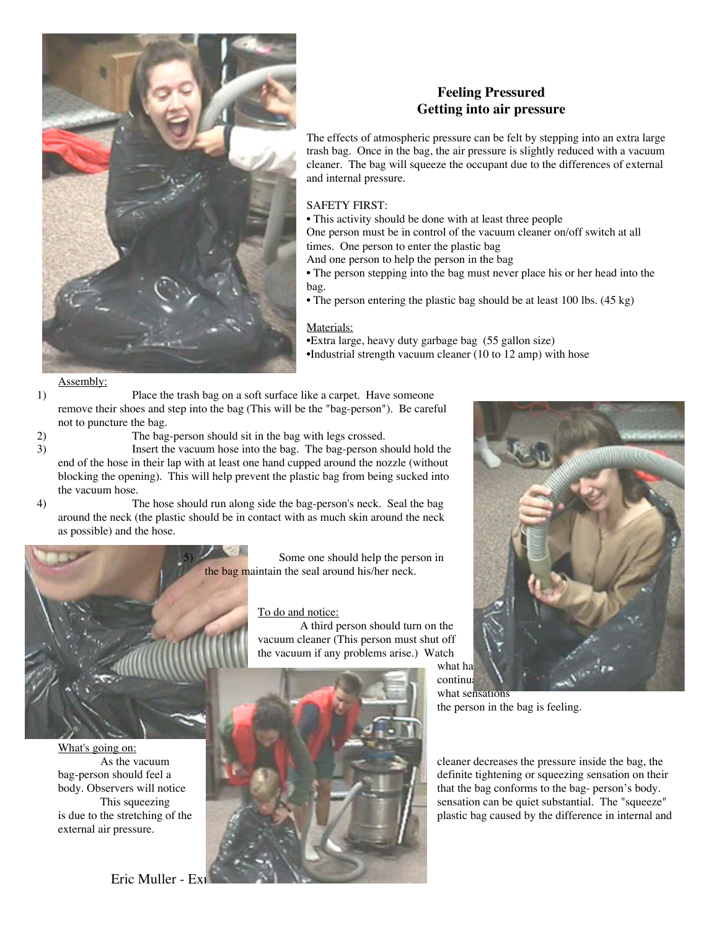

# **Feeling Pressured Getting into air pressure**

The effects of atmospheric pressure can be felt by stepping into an extra large trash bag. Once in the bag, the air pressure is slightly reduced with a vacuum cleaner. The bag will squeeze the occupant due to the differences of external and internal pressure.

# SAFETY FIRST:

- This activity should be done with at least three people
- One person must be in control of the vacuum cleaner on/off switch at all times. One person to enter the plastic bag
- And one person to help the person in the bag
- The person stepping into the bag must never place his or her head into the bag.
- The person entering the plastic bag should be at least 100 lbs.  $(45 \text{ kg})$

## Materials:

•Extra large, heavy duty garbage bag (55 gallon size) •Industrial strength vacuum cleaner (10 to 12 amp) with hose

### Assembly:

- 1) Place the trash bag on a soft surface like a carpet. Have someone remove their shoes and step into the bag (This will be the "bag-person"). Be careful not to puncture the bag.
- 

2) The bag-person should sit in the bag with legs crossed.

3) Insert the vacuum hose into the bag. The bag-person should hold the end of the hose in their lap with at least one hand cupped around the nozzle (without blocking the opening). This will help prevent the plastic bag from being sucked into the vacuum hose.

4) The hose should run along side the bag-person's neck. Seal the bag around the neck (the plastic should be in contact with as much skin around the neck as possible) and the hose.



What's going on:<br>As the vacuum external air pressure.

5) Some one should help the person in the bag maintain the seal around his/her neck.

#### To do and notice:

A third person should turn on the vacuum cleaner (This person must shut off the vacuum if any problems arise.) Watch

what ha continua

what sensations the person in the bag is feeling.

cleaner decreases the pressure inside the bag, the bag-person should feel a definite tightening or squeezing sensation on their is due to the stretching of the plastic bag caused by the difference in internal and